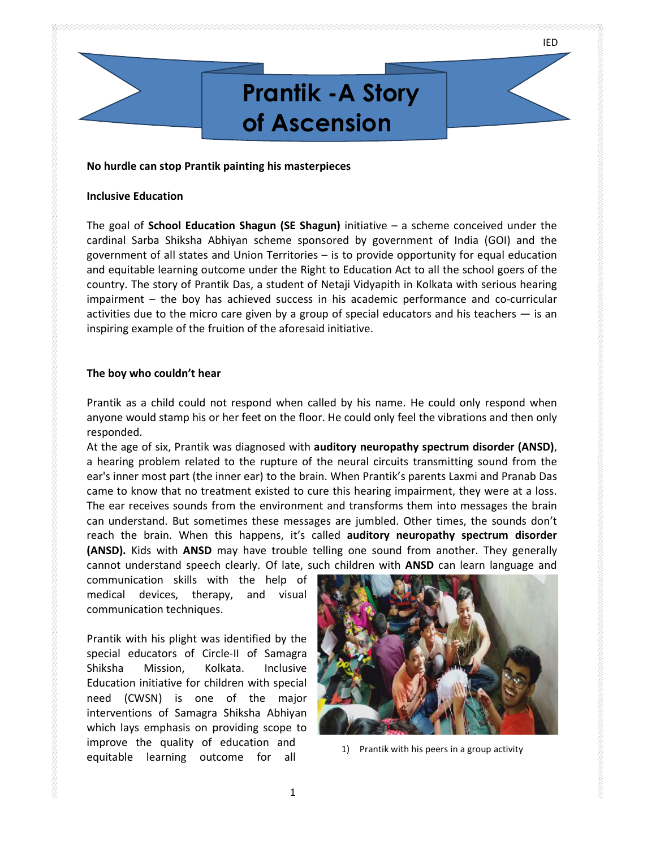# Prantik -A Story of Ascension

No hurdle can stop Prantik painting his masterpieces

## Inclusive Education

The goal of **School Education Shagun (SE Shagun)** initiative – a scheme conceived under the cardinal Sarba Shiksha Abhiyan scheme sponsored by government of India (GOI) and the government of all states and Union Territories – is to provide opportunity for equal education and equitable learning outcome under the Right to Education Act to all the school goers of the country. The story of Prantik Das, a student of Netaji Vidyapith in Kolkata with serious hearing impairment – the boy has achieved success in his academic performance and co-curricular activities due to the micro care given by a group of special educators and his teachers  $-$  is an inspiring example of the fruition of the aforesaid initiative.

# The boy who couldn't hear

Prantik as a child could not respond when called by his name. He could only respond when anyone would stamp his or her feet on the floor. He could only feel the vibrations and then only responded.

At the age of six, Prantik was diagnosed with **auditory neuropathy spectrum disorder (ANSD)**, a hearing problem related to the rupture of the neural circuits transmitting sound from the ear's inner most part (the inner ear) to the brain. When Prantik's parents Laxmi and Pranab Das came to know that no treatment existed to cure this hearing impairment, they were at a loss. The ear receives sounds from the environment and transforms them into messages the brain can understand. But sometimes these messages are jumbled. Other times, the sounds don't reach the brain. When this happens, it's called auditory neuropathy spectrum disorder (ANSD). Kids with ANSD may have trouble telling one sound from another. They generally cannot understand speech clearly. Of late, such children with ANSD can learn language and

communication skills with the help of medical devices, therapy, and visual communication techniques.

Prantik with his plight was identified by the special educators of Circle-II of Samagra Shiksha Mission, Kolkata. Inclusive Education initiative for children with special need (CWSN) is one of the major interventions of Samagra Shiksha Abhiyan which lays emphasis on providing scope to improve the quality of education and<br>
1) Prantik with his peers in a group activity equitable learning outcome for all

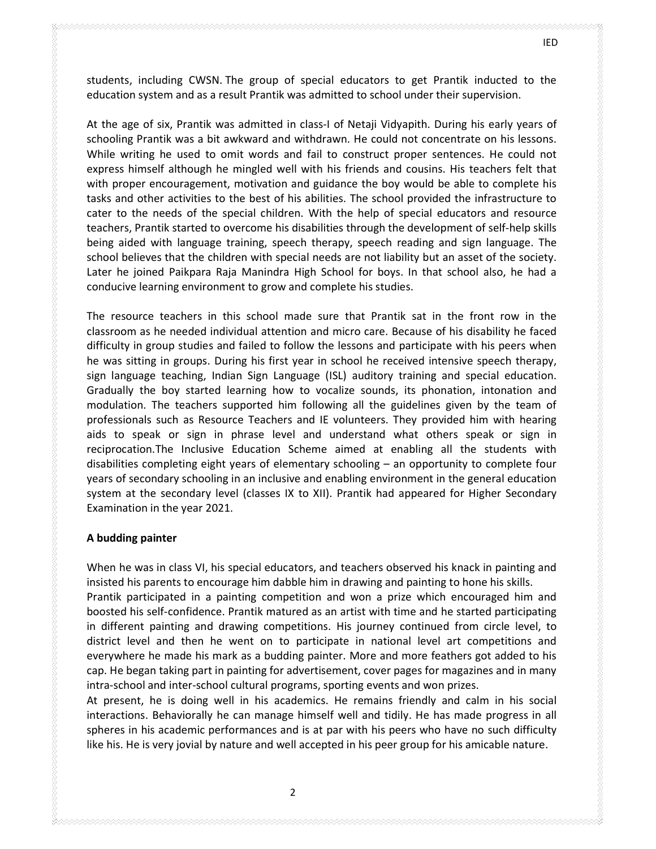students, including CWSN. The group of special educators to get Prantik inducted to the education system and as a result Prantik was admitted to school under their supervision.

At the age of six, Prantik was admitted in class-I of Netaji Vidyapith. During his early years of schooling Prantik was a bit awkward and withdrawn. He could not concentrate on his lessons. While writing he used to omit words and fail to construct proper sentences. He could not express himself although he mingled well with his friends and cousins. His teachers felt that with proper encouragement, motivation and guidance the boy would be able to complete his tasks and other activities to the best of his abilities. The school provided the infrastructure to cater to the needs of the special children. With the help of special educators and resource teachers, Prantik started to overcome his disabilities through the development of self-help skills being aided with language training, speech therapy, speech reading and sign language. The school believes that the children with special needs are not liability but an asset of the society. Later he joined Paikpara Raja Manindra High School for boys. In that school also, he had a conducive learning environment to grow and complete his studies.

The resource teachers in this school made sure that Prantik sat in the front row in the classroom as he needed individual attention and micro care. Because of his disability he faced difficulty in group studies and failed to follow the lessons and participate with his peers when he was sitting in groups. During his first year in school he received intensive speech therapy, sign language teaching, Indian Sign Language (ISL) auditory training and special education. Gradually the boy started learning how to vocalize sounds, its phonation, intonation and modulation. The teachers supported him following all the guidelines given by the team of professionals such as Resource Teachers and IE volunteers. They provided him with hearing aids to speak or sign in phrase level and understand what others speak or sign in reciprocation.The Inclusive Education Scheme aimed at enabling all the students with disabilities completing eight years of elementary schooling – an opportunity to complete four years of secondary schooling in an inclusive and enabling environment in the general education system at the secondary level (classes IX to XII). Prantik had appeared for Higher Secondary Examination in the year 2021.

### A budding painter

When he was in class VI, his special educators, and teachers observed his knack in painting and insisted his parents to encourage him dabble him in drawing and painting to hone his skills. Prantik participated in a painting competition and won a prize which encouraged him and boosted his self-confidence. Prantik matured as an artist with time and he started participating in different painting and drawing competitions. His journey continued from circle level, to district level and then he went on to participate in national level art competitions and everywhere he made his mark as a budding painter. More and more feathers got added to his cap. He began taking part in painting for advertisement, cover pages for magazines and in many intra-school and inter-school cultural programs, sporting events and won prizes.

At present, he is doing well in his academics. He remains friendly and calm in his social interactions. Behaviorally he can manage himself well and tidily. He has made progress in all spheres in his academic performances and is at par with his peers who have no such difficulty like his. He is very jovial by nature and well accepted in his peer group for his amicable nature.